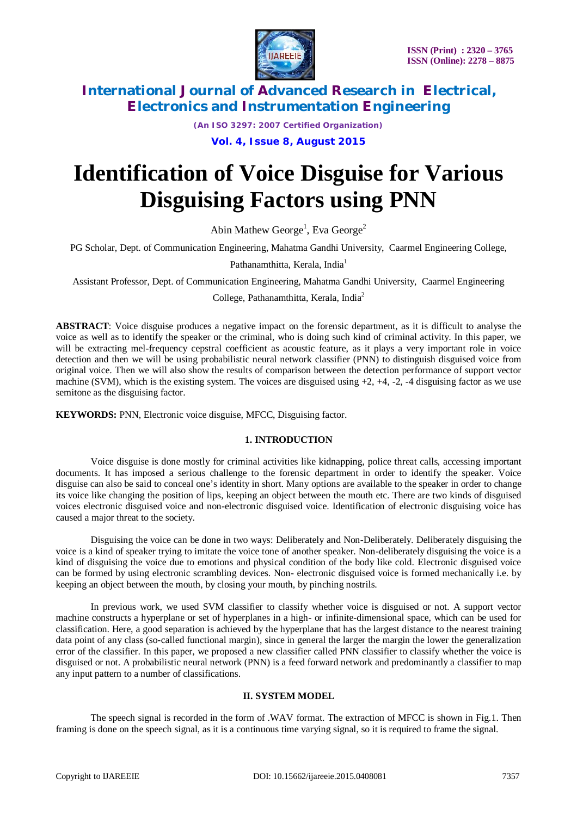

*(An ISO 3297: 2007 Certified Organization)*

**Vol. 4, Issue 8, August 2015**

# **Identification of Voice Disguise for Various Disguising Factors using PNN**

Abin Mathew George<sup>1</sup>, Eva George<sup>2</sup>

PG Scholar, Dept. of Communication Engineering, Mahatma Gandhi University, Caarmel Engineering College,

Pathanamthitta, Kerala, India<sup>1</sup>

Assistant Professor, Dept. of Communication Engineering, Mahatma Gandhi University, Caarmel Engineering

College, Pathanamthitta, Kerala, India<sup>2</sup>

**ABSTRACT**: Voice disguise produces a negative impact on the forensic department, as it is difficult to analyse the voice as well as to identify the speaker or the criminal, who is doing such kind of criminal activity. In this paper, we will be extracting mel-frequency cepstral coefficient as acoustic feature, as it plays a very important role in voice detection and then we will be using probabilistic neural network classifier (PNN) to distinguish disguised voice from original voice. Then we will also show the results of comparison between the detection performance of support vector machine (SVM), which is the existing system. The voices are disguised using  $+2$ ,  $+4$ ,  $-2$ ,  $-4$  disguising factor as we use semitone as the disguising factor.

**KEYWORDS:** PNN, Electronic voice disguise, MFCC, Disguising factor.

#### **1. INTRODUCTION**

Voice disguise is done mostly for criminal activities like kidnapping, police threat calls, accessing important documents. It has imposed a serious challenge to the forensic department in order to identify the speaker. Voice disguise can also be said to conceal one's identity in short. Many options are available to the speaker in order to change its voice like changing the position of lips, keeping an object between the mouth etc. There are two kinds of disguised voices electronic disguised voice and non-electronic disguised voice. Identification of electronic disguising voice has caused a major threat to the society.

Disguising the voice can be done in two ways: Deliberately and Non-Deliberately. Deliberately disguising the voice is a kind of speaker trying to imitate the voice tone of another speaker. Non-deliberately disguising the voice is a kind of disguising the voice due to emotions and physical condition of the body like cold. Electronic disguised voice can be formed by using electronic scrambling devices. Non- electronic disguised voice is formed mechanically i.e. by keeping an object between the mouth, by closing your mouth, by pinching nostrils.

In previous work, we used SVM classifier to classify whether voice is disguised or not. A support vector machine constructs a hyperplane or set of hyperplanes in a high- or infinite-dimensional space, which can be used for classification. Here, a good separation is achieved by the hyperplane that has the largest distance to the nearest training data point of any class (so-called functional margin), since in general the larger the margin the lower the generalization error of the classifier. In this paper, we proposed a new classifier called PNN classifier to classify whether the voice is disguised or not. A probabilistic neural network (PNN) is a feed forward network and predominantly a classifier to map any input pattern to a number of classifications.

### **II. SYSTEM MODEL**

The speech signal is recorded in the form of .WAV format. The extraction of MFCC is shown in Fig.1. Then framing is done on the speech signal, as it is a continuous time varying signal, so it is required to frame the signal.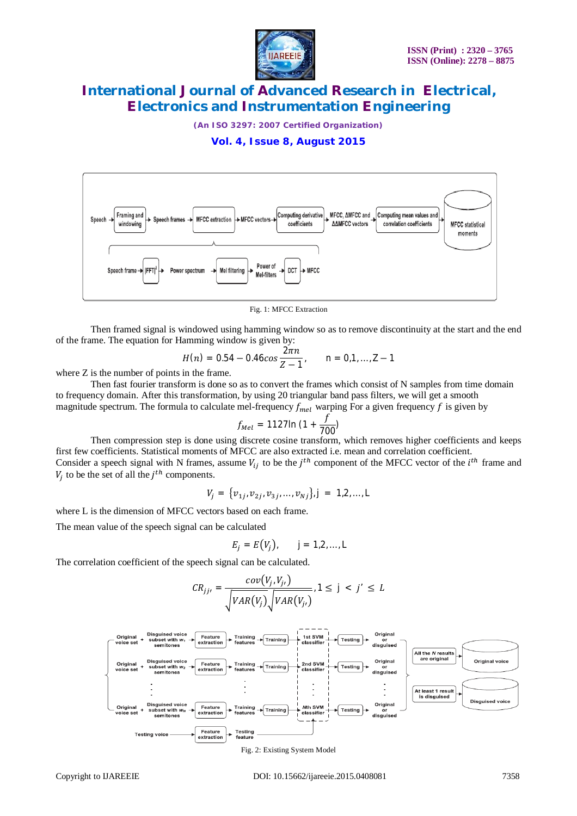

*(An ISO 3297: 2007 Certified Organization)*

### **Vol. 4, Issue 8, August 2015**



Fig. 1: MFCC Extraction

Then framed signal is windowed using hamming window so as to remove discontinuity at the start and the end of the frame. The equation for Hamming window is given by:

$$
H(n) = 0.54 - 0.46 \cos \frac{2\pi n}{Z - 1}, \qquad n = 0, 1, \ldots, Z - 1
$$

where Z is the number of points in the frame.

Then fast fourier transform is done so as to convert the frames which consist of N samples from time domain to frequency domain. After this transformation, by using 20 triangular band pass filters, we will get a smooth magnitude spectrum. The formula to calculate mel-frequency  $f_{mel}$  warping For a given frequency f is given by

$$
f_{Mel} = 1127 \ln (1 + \frac{f}{700})
$$

Then compression step is done using discrete cosine transform, which removes higher coefficients and keeps first few coefficients. Statistical moments of MFCC are also extracted i.e. mean and correlation coefficient. Consider a speech signal with N frames, assume  $V_{ij}$  to be the  $j<sup>th</sup>$  component of the MFCC vector of the  $i<sup>th</sup>$  frame and  $V_j$  to be the set of all the  $j^{th}$  components.

$$
V_j = \{v_{1j}, v_{2j}, v_{3j}, \dots, v_{Nj}\}, j = 1, 2, \dots, L
$$

where L is the dimension of MFCC vectors based on each frame.

The mean value of the speech signal can be calculated

$$
E_j = E(V_j), \qquad j = 1, 2, \ldots, L
$$

The correlation coefficient of the speech signal can be calculated.

$$
CR_{jj'} = \frac{cov(V_j, V_{j'})}{\sqrt{VAR(V_j)} \sqrt{VAR(V_{j'})}}, 1 \le j < j' \le L
$$



Fig. 2: Existing System Model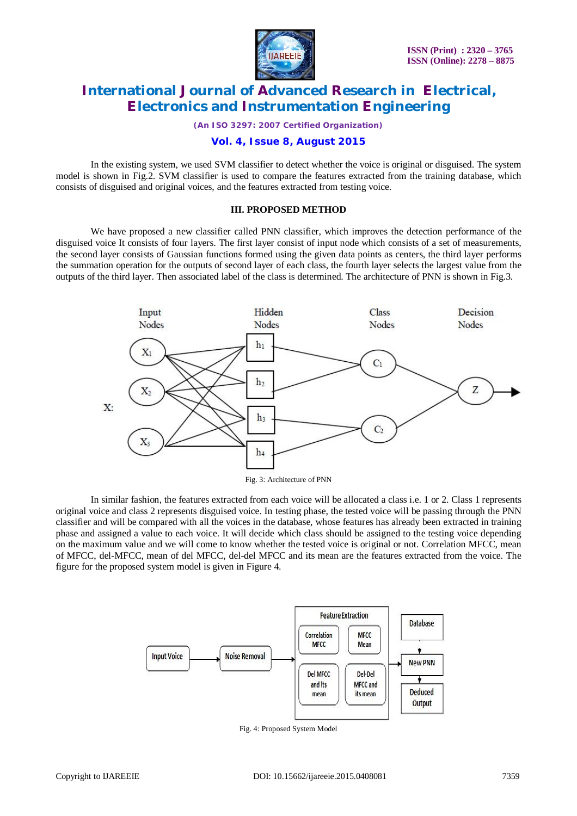

*(An ISO 3297: 2007 Certified Organization)*

#### **Vol. 4, Issue 8, August 2015**

In the existing system, we used SVM classifier to detect whether the voice is original or disguised. The system model is shown in Fig.2. SVM classifier is used to compare the features extracted from the training database, which consists of disguised and original voices, and the features extracted from testing voice.

#### **III. PROPOSED METHOD**

We have proposed a new classifier called PNN classifier, which improves the detection performance of the disguised voice It consists of four layers. The first layer consist of input node which consists of a set of measurements, the second layer consists of Gaussian functions formed using the given data points as centers, the third layer performs the summation operation for the outputs of second layer of each class, the fourth layer selects the largest value from the outputs of the third layer. Then associated label of the class is determined. The architecture of PNN is shown in Fig.3.



In similar fashion, the features extracted from each voice will be allocated a class i.e. 1 or 2. Class 1 represents original voice and class 2 represents disguised voice. In testing phase, the tested voice will be passing through the PNN classifier and will be compared with all the voices in the database, whose features has already been extracted in training phase and assigned a value to each voice. It will decide which class should be assigned to the testing voice depending on the maximum value and we will come to know whether the tested voice is original or not. Correlation MFCC, mean of MFCC, del-MFCC, mean of del MFCC, del-del MFCC and its mean are the features extracted from the voice. The figure for the proposed system model is given in Figure 4.



Fig. 4: Proposed System Model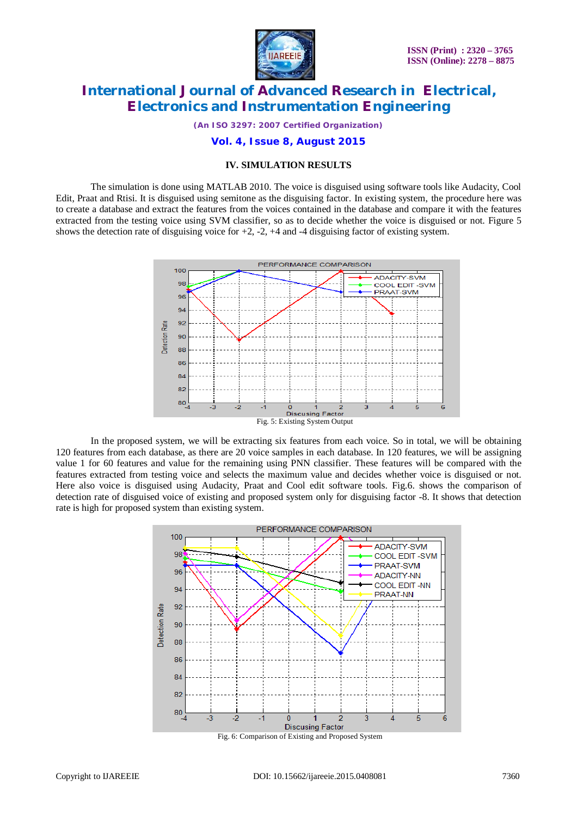

*(An ISO 3297: 2007 Certified Organization)*

#### **Vol. 4, Issue 8, August 2015**

#### **IV. SIMULATION RESULTS**

The simulation is done using MATLAB 2010. The voice is disguised using software tools like Audacity, Cool Edit, Praat and Rtisi. It is disguised using semitone as the disguising factor. In existing system, the procedure here was to create a database and extract the features from the voices contained in the database and compare it with the features extracted from the testing voice using SVM classifier, so as to decide whether the voice is disguised or not. Figure 5 shows the detection rate of disguising voice for  $+2$ ,  $-2$ ,  $+4$  and  $-4$  disguising factor of existing system.



In the proposed system, we will be extracting six features from each voice. So in total, we will be obtaining 120 features from each database, as there are 20 voice samples in each database. In 120 features, we will be assigning value 1 for 60 features and value for the remaining using PNN classifier. These features will be compared with the features extracted from testing voice and selects the maximum value and decides whether voice is disguised or not. Here also voice is disguised using Audacity, Praat and Cool edit software tools. Fig.6. shows the comparison of detection rate of disguised voice of existing and proposed system only for disguising factor -8. It shows that detection rate is high for proposed system than existing system.